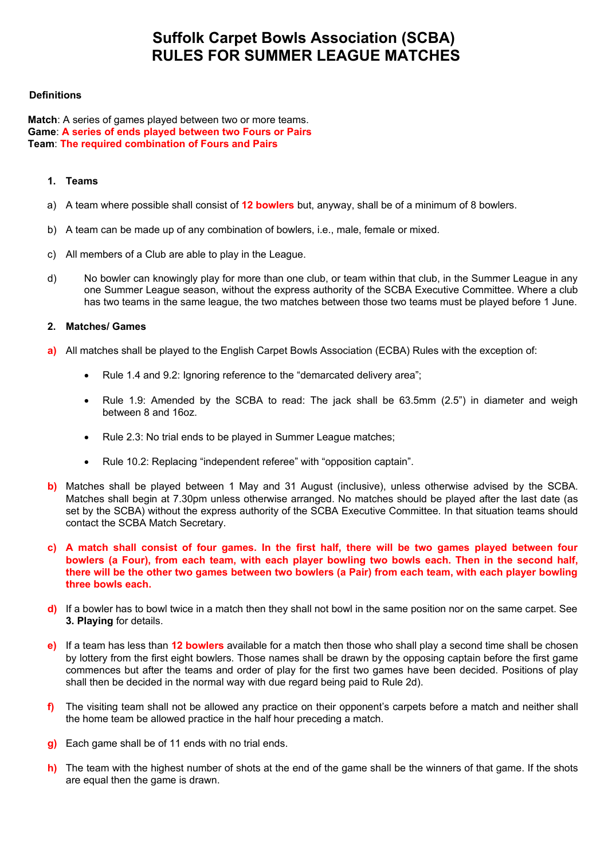# **Suffolk Carpet Bowls Association (SCBA) RULES FOR SUMMER LEAGUE MATCHES**

## **Definitions**

**Match**: A series of games played between two or more teams. **Game**: **A series of ends played between two Fours or Pairs Team**: **The required combination of Fours and Pairs**

## **1. Teams**

- a) A team where possible shall consist of **12 bowlers** but, anyway, shall be of a minimum of 8 bowlers.
- b) A team can be made up of any combination of bowlers, i.e., male, female or mixed.
- c) All members of a Club are able to play in the League.
- d) No bowler can knowingly play for more than one club, or team within that club, in the Summer League in any one Summer League season, without the express authority of the SCBA Executive Committee. Where a club has two teams in the same league, the two matches between those two teams must be played before 1 June.

## **2. Matches/ Games**

- **a)** All matches shall be played to the English Carpet Bowls Association (ECBA) Rules with the exception of:
	- Rule 1.4 and 9.2: Ignoring reference to the "demarcated delivery area":
	- Rule 1.9: Amended by the SCBA to read: The jack shall be 63.5mm (2.5") in diameter and weigh between 8 and 16oz.
	- Rule 2.3: No trial ends to be played in Summer League matches;
	- Rule 10.2: Replacing "independent referee" with "opposition captain".
- **b)** Matches shall be played between 1 May and 31 August (inclusive), unless otherwise advised by the SCBA. Matches shall begin at 7.30pm unless otherwise arranged. No matches should be played after the last date (as set by the SCBA) without the express authority of the SCBA Executive Committee. In that situation teams should contact the SCBA Match Secretary.
- **c) A match shall consist of four games. In the first half, there will be two games played between four bowlers (a Four), from each team, with each player bowling two bowls each. Then in the second half, there will be the other two games between two bowlers (a Pair) from each team, with each player bowling three bowls each.**
- **d)** If a bowler has to bowl twice in a match then they shall not bowl in the same position nor on the same carpet. See **3. Playing** for details.
- **e)** If a team has less than **12 bowlers** available for a match then those who shall play a second time shall be chosen by lottery from the first eight bowlers. Those names shall be drawn by the opposing captain before the first game commences but after the teams and order of play for the first two games have been decided. Positions of play shall then be decided in the normal way with due regard being paid to Rule 2d).
- **f)** The visiting team shall not be allowed any practice on their opponent's carpets before a match and neither shall the home team be allowed practice in the half hour preceding a match.
- **g)** Each game shall be of 11 ends with no trial ends.
- **h)** The team with the highest number of shots at the end of the game shall be the winners of that game. If the shots are equal then the game is drawn.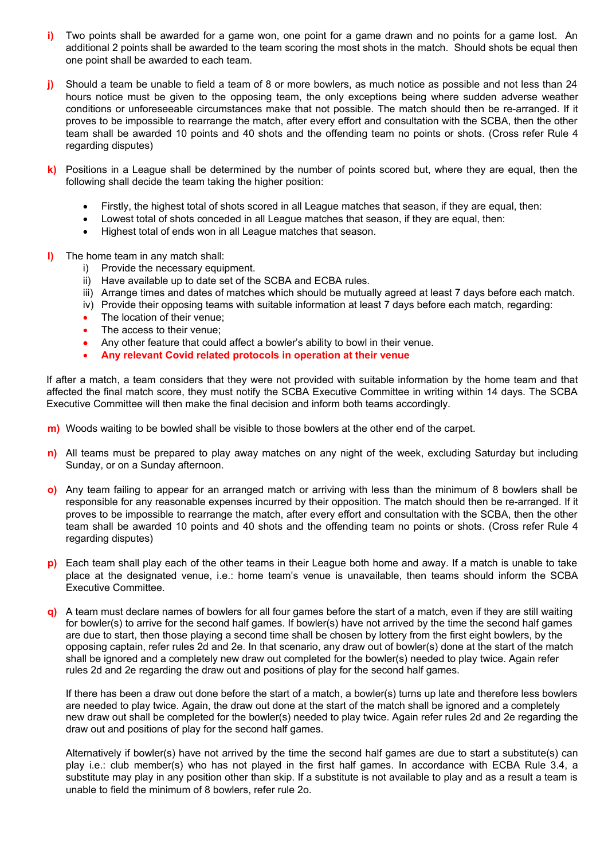- **i)** Two points shall be awarded for a game won, one point for a game drawn and no points for a game lost. An additional 2 points shall be awarded to the team scoring the most shots in the match. Should shots be equal then one point shall be awarded to each team.
- **j)** Should a team be unable to field a team of 8 or more bowlers, as much notice as possible and not less than 24 hours notice must be given to the opposing team, the only exceptions being where sudden adverse weather conditions or unforeseeable circumstances make that not possible. The match should then be re-arranged. If it proves to be impossible to rearrange the match, after every effort and consultation with the SCBA, then the other team shall be awarded 10 points and 40 shots and the offending team no points or shots. (Cross refer Rule 4 regarding disputes)
- **k)** Positions in a League shall be determined by the number of points scored but, where they are equal, then the following shall decide the team taking the higher position:
	- Firstly, the highest total of shots scored in all League matches that season, if they are equal, then:
	- Lowest total of shots conceded in all League matches that season, if they are equal, then:
	- Highest total of ends won in all League matches that season.
- **l)** The home team in any match shall:
	- i) Provide the necessary equipment.
	- ii) Have available up to date set of the SCBA and ECBA rules.
	- iii) Arrange times and dates of matches which should be mutually agreed at least 7 days before each match.
	- iv) Provide their opposing teams with suitable information at least 7 days before each match, regarding:
	- The location of their venue;
	- The access to their venue;
	- Any other feature that could affect a bowler's ability to bowl in their venue.
	- **Any relevant Covid related protocols in operation at their venue**

If after a match, a team considers that they were not provided with suitable information by the home team and that affected the final match score, they must notify the SCBA Executive Committee in writing within 14 days. The SCBA Executive Committee will then make the final decision and inform both teams accordingly.

- **m)** Woods waiting to be bowled shall be visible to those bowlers at the other end of the carpet.
- **n)** All teams must be prepared to play away matches on any night of the week, excluding Saturday but including Sunday, or on a Sunday afternoon.
- **o)** Any team failing to appear for an arranged match or arriving with less than the minimum of 8 bowlers shall be responsible for any reasonable expenses incurred by their opposition. The match should then be re-arranged. If it proves to be impossible to rearrange the match, after every effort and consultation with the SCBA, then the other team shall be awarded 10 points and 40 shots and the offending team no points or shots. (Cross refer Rule 4 regarding disputes)
- **p)** Each team shall play each of the other teams in their League both home and away. If a match is unable to take place at the designated venue, i.e.: home team's venue is unavailable, then teams should inform the SCBA Executive Committee.
- **q)** A team must declare names of bowlers for all four games before the start of a match, even if they are still waiting for bowler(s) to arrive for the second half games. If bowler(s) have not arrived by the time the second half games are due to start, then those playing a second time shall be chosen by lottery from the first eight bowlers, by the opposing captain, refer rules 2d and 2e. In that scenario, any draw out of bowler(s) done at the start of the match shall be ignored and a completely new draw out completed for the bowler(s) needed to play twice. Again refer rules 2d and 2e regarding the draw out and positions of play for the second half games.

If there has been a draw out done before the start of a match, a bowler(s) turns up late and therefore less bowlers are needed to play twice. Again, the draw out done at the start of the match shall be ignored and a completely new draw out shall be completed for the bowler(s) needed to play twice. Again refer rules 2d and 2e regarding the draw out and positions of play for the second half games.

Alternatively if bowler(s) have not arrived by the time the second half games are due to start a substitute(s) can play i.e.: club member(s) who has not played in the first half games. In accordance with ECBA Rule 3.4, a substitute may play in any position other than skip. If a substitute is not available to play and as a result a team is unable to field the minimum of 8 bowlers, refer rule 2o.